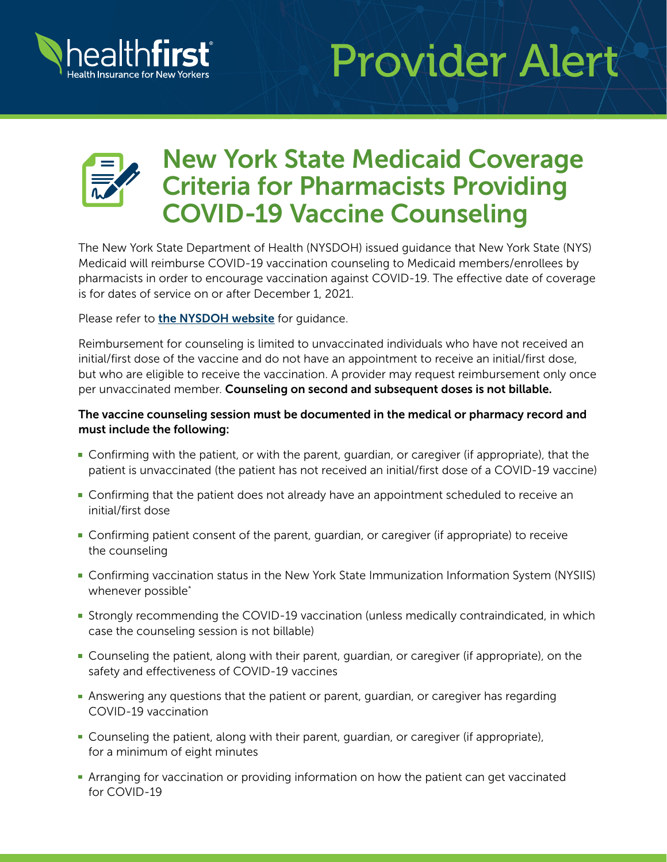

# Provider Alert



# New York State Medicaid Coverage Criteria for Pharmacists Providing COVID-19 Vaccine Counseling

The New York State Department of Health (NYSDOH) issued guidance that New York State (NYS) Medicaid will reimburse COVID-19 vaccination counseling to Medicaid members/enrollees by pharmacists in order to encourage vaccination against COVID-19. The effective date of coverage is for dates of service on or after December 1, 2021.

Please refer to [the NYSDOH website](https://health.ny.gov/health_care/medicaid/program/update/2021/no13_2021-11.htm#vaccine) for quidance.

Reimbursement for counseling is limited to unvaccinated individuals who have not received an initial/first dose of the vaccine and do not have an appointment to receive an initial/first dose, but who are eligible to receive the vaccination. A provider may request reimbursement only once per unvaccinated member. Counseling on second and subsequent doses is not billable.

#### The vaccine counseling session must be documented in the medical or pharmacy record and must include the following:

- Confirming with the patient, or with the parent, guardian, or caregiver (if appropriate), that the patient is unvaccinated (the patient has not received an initial/first dose of a COVID-19 vaccine)
- **Confirming that the patient does not already have an appointment scheduled to receive an** initial/first dose
- Confirming patient consent of the parent, guardian, or caregiver (if appropriate) to receive the counseling
- Confirming vaccination status in the New York State Immunization Information System (NYSIIS) whenever possible\*
- **Strongly recommending the COVID-19 vaccination (unless medically contraindicated, in which** case the counseling session is not billable)
- Counseling the patient, along with their parent, guardian, or caregiver (if appropriate), on the safety and effectiveness of COVID-19 vaccines
- Answering any questions that the patient or parent, guardian, or caregiver has regarding COVID-19 vaccination
- Counseling the patient, along with their parent, guardian, or caregiver (if appropriate), for a minimum of eight minutes
- **Arranging for vaccination or providing information on how the patient can get vaccinated** for COVID-19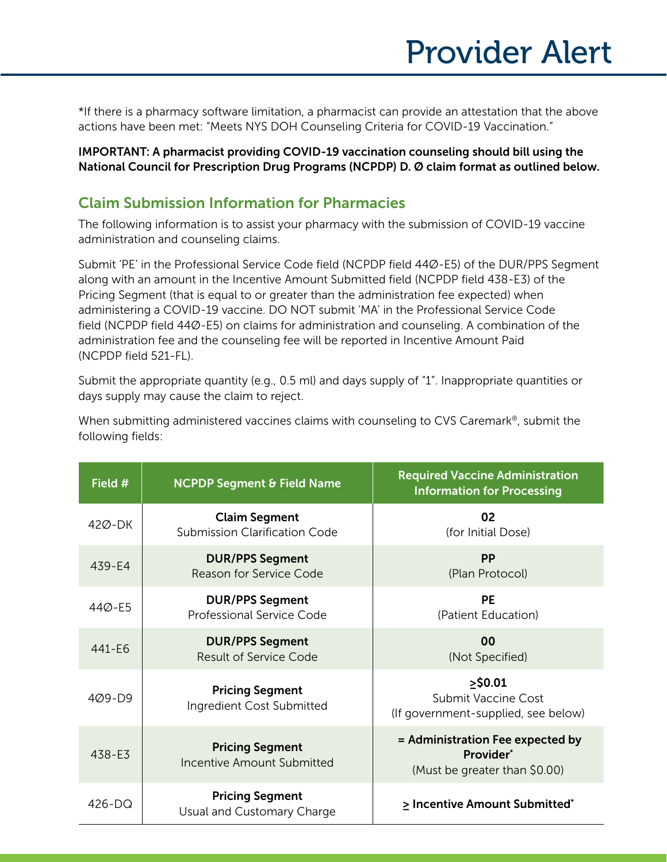\*If there is a pharmacy software limitation, a pharmacist can provide an attestation that the above actions have been met: "Meets NYS DOH Counseling Criteria for COVID-19 Vaccination."

IMPORTANT: A pharmacist providing COVID-19 vaccination counseling should bill using the National Council for Prescription Drug Programs (NCPDP) D. Ø claim format as outlined below.

## Claim Submission Information for Pharmacies

The following information is to assist your pharmacy with the submission of COVID-19 vaccine administration and counseling claims.

Submit 'PE' in the Professional Service Code field (NCPDP field 44Ø-E5) of the DUR/PPS Segment along with an amount in the Incentive Amount Submitted field (NCPDP field 438-E3) of the Pricing Segment (that is equal to or greater than the administration fee expected) when administering a COVID-19 vaccine. DO NOT submit 'MA' in the Professional Service Code field (NCPDP field 44Ø-E5) on claims for administration and counseling. A combination of the administration fee and the counseling fee will be reported in Incentive Amount Paid (NCPDP field 521-FL).

Submit the appropriate quantity (e.g., 0.5 ml) and days supply of "1". Inappropriate quantities or days supply may cause the claim to reject.

| Field #    | <b>NCPDP Segment &amp; Field Name</b>                        | <b>Required Vaccine Administration</b><br><b>Information for Processing</b>     |
|------------|--------------------------------------------------------------|---------------------------------------------------------------------------------|
| 42Ø-DK     | <b>Claim Segment</b><br><b>Submission Clarification Code</b> | 02<br>(for Initial Dose)                                                        |
| $439 - E4$ | <b>DUR/PPS Segment</b><br>Reason for Service Code            | <b>PP</b><br>(Plan Protocol)                                                    |
| 44Ø-E5     | <b>DUR/PPS Segment</b><br>Professional Service Code          | <b>PE</b><br>(Patient Education)                                                |
| 441-E6     | <b>DUR/PPS Segment</b><br><b>Result of Service Code</b>      | 0 <sub>0</sub><br>(Not Specified)                                               |
| $409 - D9$ | <b>Pricing Segment</b><br>Ingredient Cost Submitted          | $>$ \$0.01<br><b>Submit Vaccine Cost</b><br>(If government-supplied, see below) |
| 438-E3     | <b>Pricing Segment</b><br><b>Incentive Amount Submitted</b>  | = Administration Fee expected by<br>Provider*<br>(Must be greater than \$0.00)  |
| $426 - DQ$ | <b>Pricing Segment</b><br>Usual and Customary Charge         | > Incentive Amount Submitted*                                                   |

When submitting administered vaccines claims with counseling to CVS Caremark®, submit the following fields: